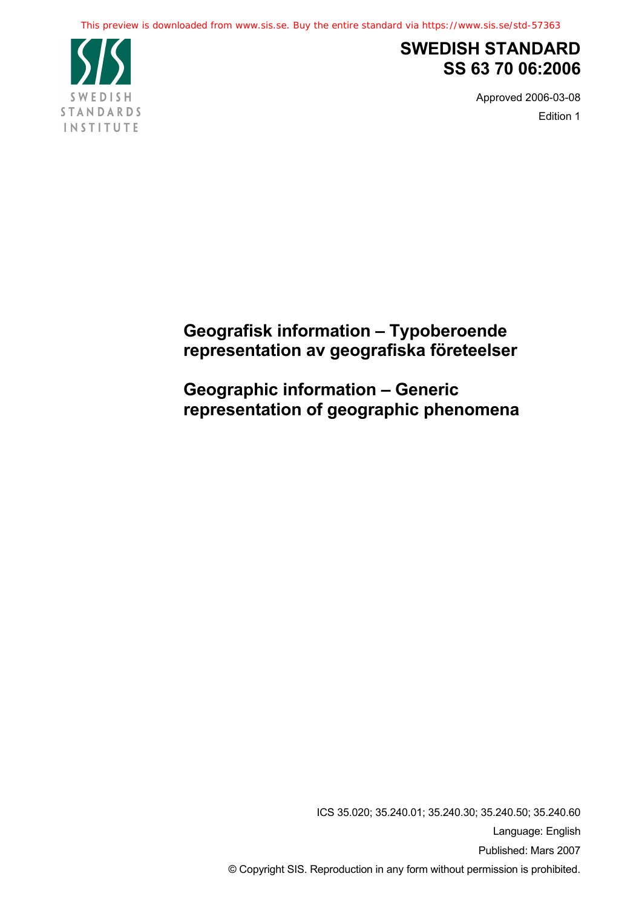This preview is downloaded from www.sis.se. Buy the entire standard via https://www.sis.se/std-57363



# **SWEDISH STANDARD SS 63 70 06:2006**

Approved 2006-03-08 Edition 1

# **Geografisk information – Typoberoende representation av geografiska företeelser**

**Geographic information – Generic representation of geographic phenomena** 

> ICS 35.020; 35.240.01; 35.240.30; 35.240.50; 35.240.60 Language: English Published: Mars 2007 © Copyright SIS. Reproduction in any form without permission is prohibited.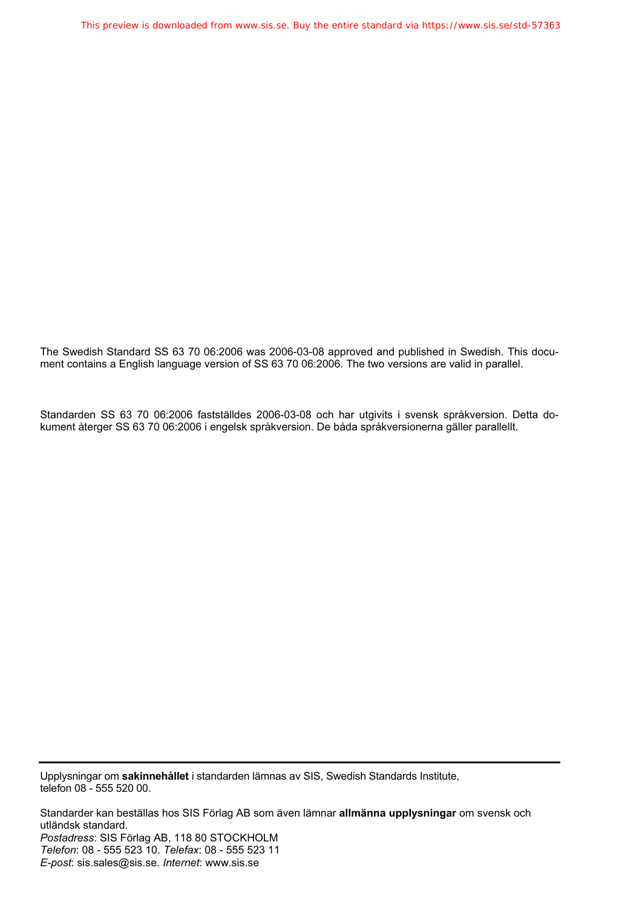The Swedish Standard SS 63 70 06:2006 was 2006-03-08 approved and published in Swedish. This document contains a English language version of SS 63 70 06:2006. The two versions are valid in parallel.

Standarden SS 63 70 06:2006 fastställdes 2006-03-08 och har utgivits i svensk språkversion. Detta dokument återger SS 63 70 06:2006 i engelsk språkversion. De båda språkversionerna gäller parallellt.

Upplysningar om **sakinnehållet** i standarden lämnas av SIS, Swedish Standards Institute, telefon 08 - 555 520 00.

Standarder kan beställas hos SIS Förlag AB som även lämnar **allmänna upplysningar** om svensk och utländsk standard. *Postadress*: SIS Förlag AB, 118 80 STOCKHOLM *Telefon*: 08 - 555 523 10. *Telefax*: 08 - 555 523 11 *E-post*: sis.sales@sis.se. *Internet*: www.sis.se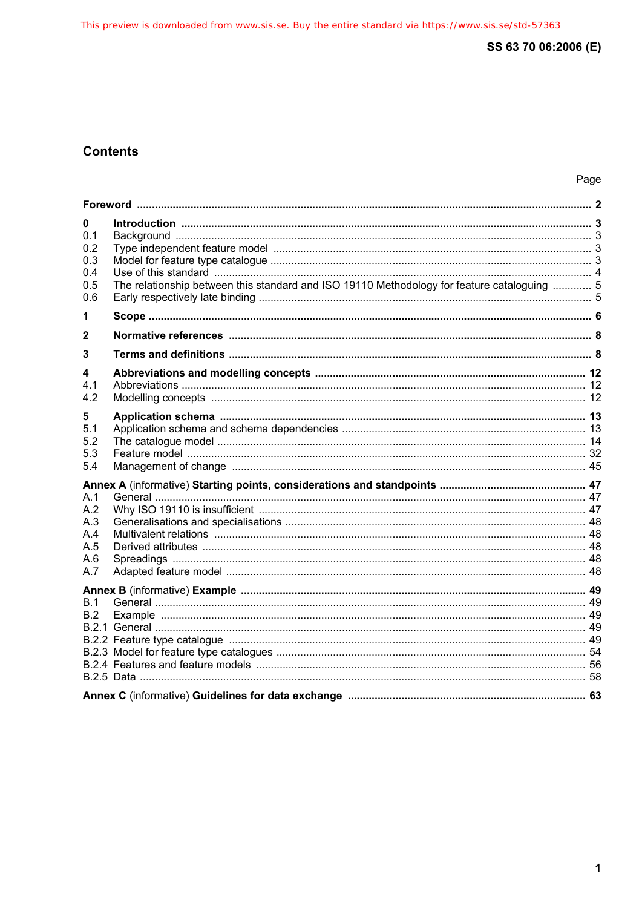# **Contents**

| 0<br>0.1<br>0.2<br>0.3<br>0.4<br>0.5<br>0.6   | The relationship between this standard and ISO 19110 Methodology for feature cataloguing  5 |  |  |  |
|-----------------------------------------------|---------------------------------------------------------------------------------------------|--|--|--|
| 1                                             |                                                                                             |  |  |  |
| 2                                             |                                                                                             |  |  |  |
| 3                                             |                                                                                             |  |  |  |
| 4<br>4.1<br>4.2                               |                                                                                             |  |  |  |
| 5<br>5.1<br>5.2<br>5.3<br>5.4                 |                                                                                             |  |  |  |
| A.1<br>A.2<br>A.3<br>A.4<br>A.5<br>A.6<br>A.7 |                                                                                             |  |  |  |
| B.1<br>B.2                                    |                                                                                             |  |  |  |
|                                               |                                                                                             |  |  |  |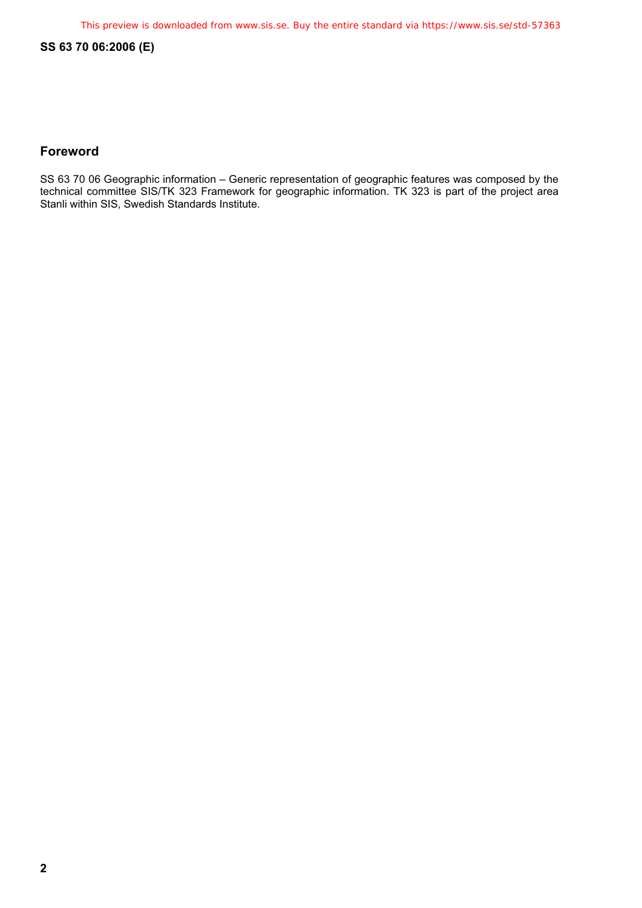# **Foreword**

SS 63 70 06 Geographic information – Generic representation of geographic features was composed by the technical committee SIS/TK 323 Framework for geographic information. TK 323 is part of the project area Stanli within SIS, Swedish Standards Institute.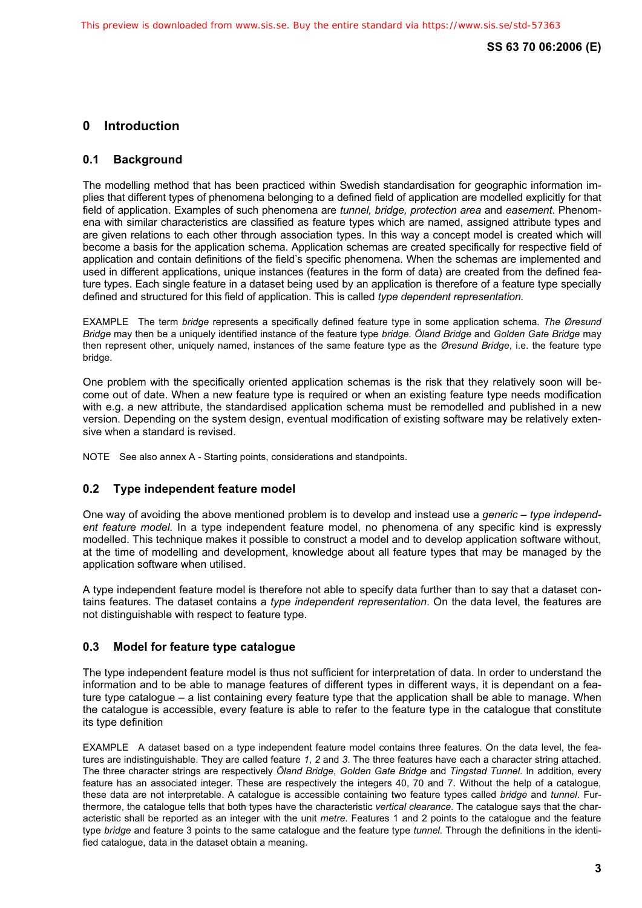# **0 Introduction**

# **0.1 Background**

The modelling method that has been practiced within Swedish standardisation for geographic information implies that different types of phenomena belonging to a defined field of application are modelled explicitly for that field of application. Examples of such phenomena are *tunnel, bridge, protection area* and *easement*. Phenomena with similar characteristics are classified as feature types which are named, assigned attribute types and are given relations to each other through association types. In this way a concept model is created which will become a basis for the application schema. Application schemas are created specifically for respective field of application and contain definitions of the field's specific phenomena. When the schemas are implemented and used in different applications, unique instances (features in the form of data) are created from the defined feature types. Each single feature in a dataset being used by an application is therefore of a feature type specially defined and structured for this field of application. This is called *type dependent representation.*

EXAMPLE The term *bridge* represents a specifically defined feature type in some application schema. *The Øresund Bridge* may then be a uniquely identified instance of the feature type *bridge*. *Öland Bridge* and *Golden Gate Bridge* may then represent other, uniquely named, instances of the same feature type as the *Øresund Bridge*, i.e. the feature type bridge.

One problem with the specifically oriented application schemas is the risk that they relatively soon will become out of date. When a new feature type is required or when an existing feature type needs modification with e.g. a new attribute, the standardised application schema must be remodelled and published in a new version. Depending on the system design, eventual modification of existing software may be relatively extensive when a standard is revised.

NOTE See also annex A - Starting points, considerations and standpoints.

# **0.2 Type independent feature model**

One way of avoiding the above mentioned problem is to develop and instead use a *generic* – *type independent feature model.* In a type independent feature model, no phenomena of any specific kind is expressly modelled. This technique makes it possible to construct a model and to develop application software without, at the time of modelling and development, knowledge about all feature types that may be managed by the application software when utilised.

A type independent feature model is therefore not able to specify data further than to say that a dataset contains features. The dataset contains a *type independent representation*. On the data level, the features are not distinguishable with respect to feature type.

# **0.3 Model for feature type catalogue**

The type independent feature model is thus not sufficient for interpretation of data. In order to understand the information and to be able to manage features of different types in different ways, it is dependant on a feature type catalogue – a list containing every feature type that the application shall be able to manage. When the catalogue is accessible, every feature is able to refer to the feature type in the catalogue that constitute its type definition

EXAMPLE A dataset based on a type independent feature model contains three features. On the data level, the features are indistinguishable. They are called feature *1*, *2* and *3*. The three features have each a character string attached. The three character strings are respectively *Öland Bridge*, *Golden Gate Bridge* and *Tingstad Tunnel*. In addition, every feature has an associated integer. These are respectively the integers 40, 70 and 7. Without the help of a catalogue, these data are not interpretable. A catalogue is accessible containing two feature types called *bridge* and *tunnel*. Furthermore, the catalogue tells that both types have the characteristic *vertical clearance*. The catalogue says that the characteristic shall be reported as an integer with the unit *metre*. Features 1 and 2 points to the catalogue and the feature type *bridge* and feature 3 points to the same catalogue and the feature type *tunnel*. Through the definitions in the identified catalogue, data in the dataset obtain a meaning.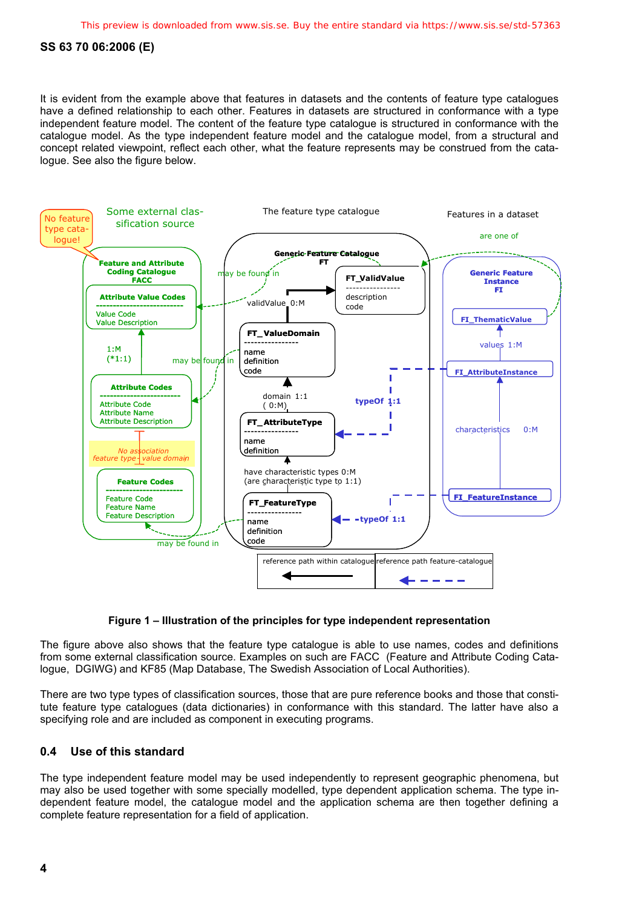It is evident from the example above that features in datasets and the contents of feature type catalogues have a defined relationship to each other. Features in datasets are structured in conformance with a type independent feature model. The content of the feature type catalogue is structured in conformance with the catalogue model. As the type independent feature model and the catalogue model, from a structural and concept related viewpoint, reflect each other, what the feature represents may be construed from the catalogue. See also the figure below.



#### **Figure 1 – Illustration of the principles for type independent representation**

The figure above also shows that the feature type catalogue is able to use names, codes and definitions from some external classification source. Examples on such are FACC (Feature and Attribute Coding Catalogue, DGIWG) and KF85 (Map Database, The Swedish Association of Local Authorities).

There are two type types of classification sources, those that are pure reference books and those that constitute feature type catalogues (data dictionaries) in conformance with this standard. The latter have also a specifying role and are included as component in executing programs.

# **0.4 Use of this standard**

The type independent feature model may be used independently to represent geographic phenomena, but may also be used together with some specially modelled, type dependent application schema. The type independent feature model, the catalogue model and the application schema are then together defining a complete feature representation for a field of application.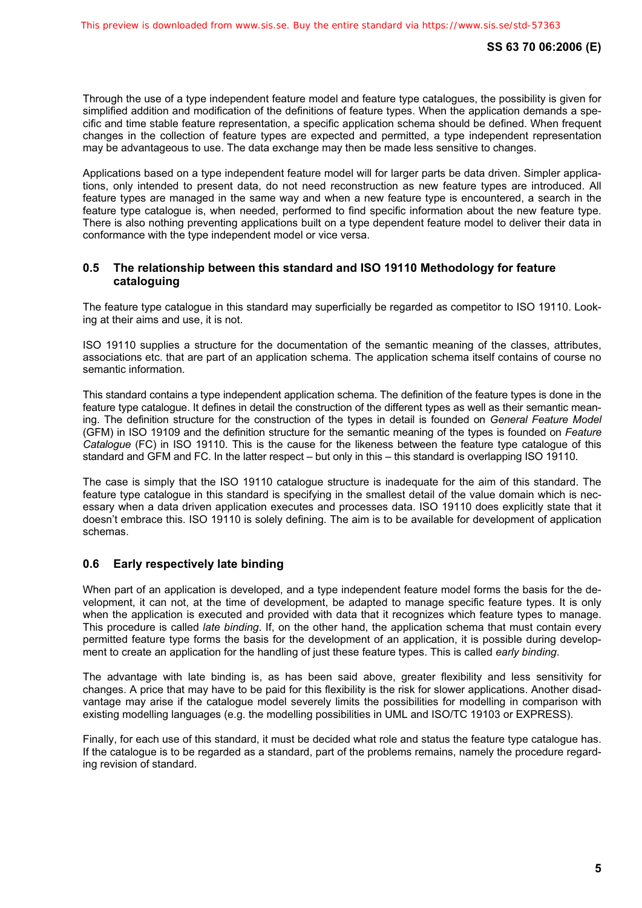Through the use of a type independent feature model and feature type catalogues, the possibility is given for simplified addition and modification of the definitions of feature types. When the application demands a specific and time stable feature representation, a specific application schema should be defined. When frequent changes in the collection of feature types are expected and permitted, a type independent representation may be advantageous to use. The data exchange may then be made less sensitive to changes.

Applications based on a type independent feature model will for larger parts be data driven. Simpler applications, only intended to present data, do not need reconstruction as new feature types are introduced. All feature types are managed in the same way and when a new feature type is encountered, a search in the feature type catalogue is, when needed, performed to find specific information about the new feature type. There is also nothing preventing applications built on a type dependent feature model to deliver their data in conformance with the type independent model or vice versa.

# **0.5 The relationship between this standard and ISO 19110 Methodology for feature cataloguing**

The feature type catalogue in this standard may superficially be regarded as competitor to ISO 19110. Looking at their aims and use, it is not.

ISO 19110 supplies a structure for the documentation of the semantic meaning of the classes, attributes, associations etc. that are part of an application schema. The application schema itself contains of course no semantic information.

This standard contains a type independent application schema. The definition of the feature types is done in the feature type catalogue. It defines in detail the construction of the different types as well as their semantic meaning. The definition structure for the construction of the types in detail is founded on *General Feature Model*  (GFM) in ISO 19109 and the definition structure for the semantic meaning of the types is founded on *Feature Catalogue* (FC) in ISO 19110. This is the cause for the likeness between the feature type catalogue of this standard and GFM and FC. In the latter respect – but only in this – this standard is overlapping ISO 19110.

The case is simply that the ISO 19110 catalogue structure is inadequate for the aim of this standard. The feature type catalogue in this standard is specifying in the smallest detail of the value domain which is necessary when a data driven application executes and processes data. ISO 19110 does explicitly state that it doesn't embrace this. ISO 19110 is solely defining. The aim is to be available for development of application schemas.

# **0.6 Early respectively late binding**

When part of an application is developed, and a type independent feature model forms the basis for the development, it can not, at the time of development, be adapted to manage specific feature types. It is only when the application is executed and provided with data that it recognizes which feature types to manage. This procedure is called *late binding*. If, on the other hand, the application schema that must contain every permitted feature type forms the basis for the development of an application, it is possible during development to create an application for the handling of just these feature types. This is called *early binding*.

The advantage with late binding is, as has been said above, greater flexibility and less sensitivity for changes. A price that may have to be paid for this flexibility is the risk for slower applications. Another disadvantage may arise if the catalogue model severely limits the possibilities for modelling in comparison with existing modelling languages (e.g. the modelling possibilities in UML and ISO/TC 19103 or EXPRESS).

Finally, for each use of this standard, it must be decided what role and status the feature type catalogue has. If the catalogue is to be regarded as a standard, part of the problems remains, namely the procedure regarding revision of standard.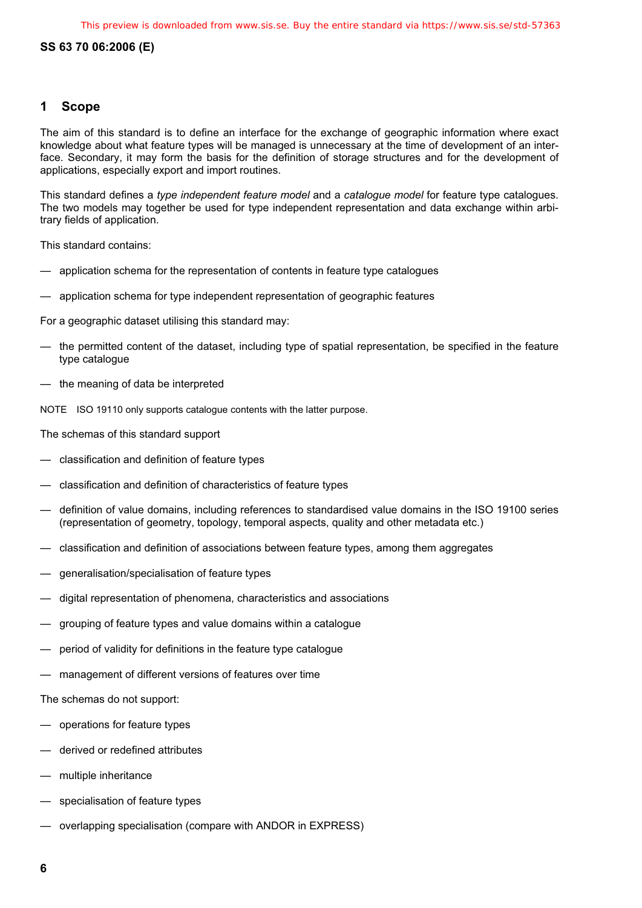# **1 Scope**

The aim of this standard is to define an interface for the exchange of geographic information where exact knowledge about what feature types will be managed is unnecessary at the time of development of an interface. Secondary, it may form the basis for the definition of storage structures and for the development of applications, especially export and import routines.

This standard defines a *type independent feature model* and a *catalogue model* for feature type catalogues. The two models may together be used for type independent representation and data exchange within arbitrary fields of application.

This standard contains:

- application schema for the representation of contents in feature type catalogues
- application schema for type independent representation of geographic features

For a geographic dataset utilising this standard may:

- the permitted content of the dataset, including type of spatial representation, be specified in the feature type catalogue
- the meaning of data be interpreted

NOTE ISO 19110 only supports catalogue contents with the latter purpose.

The schemas of this standard support

- classification and definition of feature types
- classification and definition of characteristics of feature types
- definition of value domains, including references to standardised value domains in the ISO 19100 series (representation of geometry, topology, temporal aspects, quality and other metadata etc.)
- classification and definition of associations between feature types, among them aggregates
- generalisation/specialisation of feature types
- digital representation of phenomena, characteristics and associations
- grouping of feature types and value domains within a catalogue
- period of validity for definitions in the feature type catalogue
- management of different versions of features over time
- The schemas do not support:
- operations for feature types
- derived or redefined attributes
- multiple inheritance
- specialisation of feature types
- overlapping specialisation (compare with ANDOR in EXPRESS)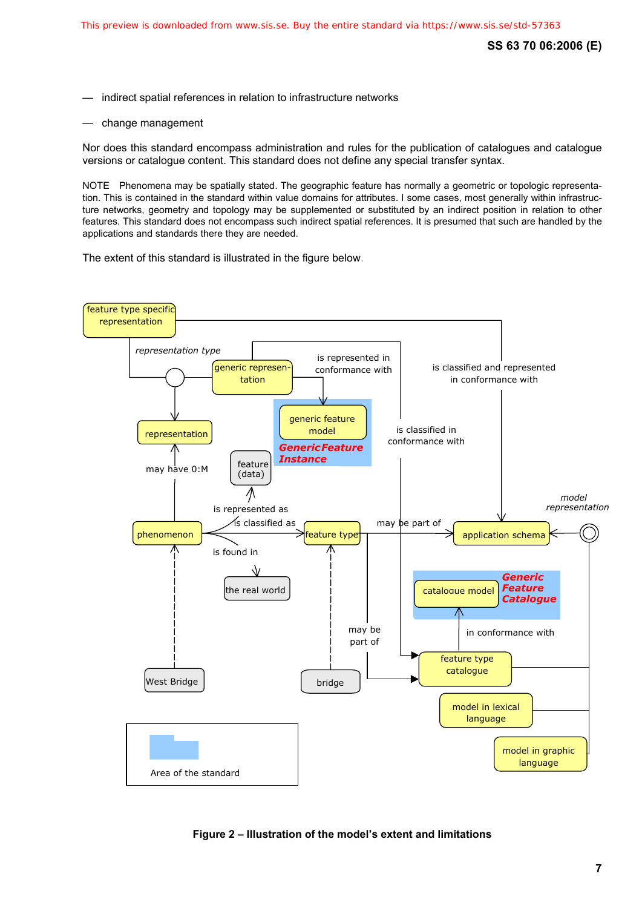indirect spatial references in relation to infrastructure networks

— change management

Nor does this standard encompass administration and rules for the publication of catalogues and catalogue versions or catalogue content. This standard does not define any special transfer syntax.

NOTE Phenomena may be spatially stated. The geographic feature has normally a geometric or topologic representation. This is contained in the standard within value domains for attributes. I some cases, most generally within infrastructure networks, geometry and topology may be supplemented or substituted by an indirect position in relation to other features. This standard does not encompass such indirect spatial references. It is presumed that such are handled by the applications and standards there they are needed.

The extent of this standard is illustrated in the figure below.



**Figure 2 – Illustration of the model's extent and limitations**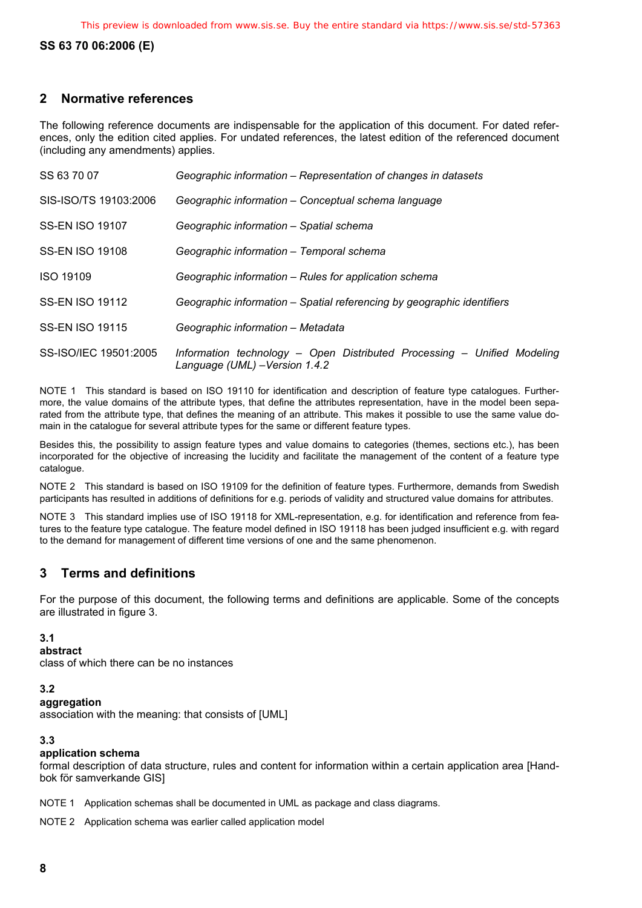# **2 Normative references**

The following reference documents are indispensable for the application of this document. For dated references, only the edition cited applies. For undated references, the latest edition of the referenced document (including any amendments) applies.

| SS 63 70 07            | Geographic information – Representation of changes in datasets                                            |
|------------------------|-----------------------------------------------------------------------------------------------------------|
| SIS-ISO/TS 19103:2006  | Geographic information - Conceptual schema language                                                       |
| <b>SS-EN ISO 19107</b> | Geographic information – Spatial schema                                                                   |
| <b>SS-EN ISO 19108</b> | Geographic information – Temporal schema                                                                  |
| <b>ISO 19109</b>       | Geographic information – Rules for application schema                                                     |
| <b>SS-EN ISO 19112</b> | Geographic information - Spatial referencing by geographic identifiers                                    |
| <b>SS-EN ISO 19115</b> | Geographic information – Metadata                                                                         |
| SS-ISO/IEC 19501:2005  | Information technology - Open Distributed Processing - Unified Modeling<br>Language (UML) - Version 1.4.2 |

NOTE 1 This standard is based on ISO 19110 for identification and description of feature type catalogues. Furthermore, the value domains of the attribute types, that define the attributes representation, have in the model been separated from the attribute type, that defines the meaning of an attribute. This makes it possible to use the same value domain in the catalogue for several attribute types for the same or different feature types.

Besides this, the possibility to assign feature types and value domains to categories (themes, sections etc.), has been incorporated for the objective of increasing the lucidity and facilitate the management of the content of a feature type catalogue.

NOTE 2 This standard is based on ISO 19109 for the definition of feature types. Furthermore, demands from Swedish participants has resulted in additions of definitions for e.g. periods of validity and structured value domains for attributes.

NOTE 3 This standard implies use of ISO 19118 for XML-representation, e.g. for identification and reference from features to the feature type catalogue. The feature model defined in ISO 19118 has been judged insufficient e.g. with regard to the demand for management of different time versions of one and the same phenomenon.

# **3 Terms and definitions**

For the purpose of this document, the following terms and definitions are applicable. Some of the concepts are illustrated in figure 3.

#### **3.1**

**abstract** 

class of which there can be no instances

#### **3.2**

#### **aggregation**

association with the meaning: that consists of [UML]

#### **3.3**

#### **application schema**

formal description of data structure, rules and content for information within a certain application area [Handbok för samverkande GIS]

NOTE 1 Application schemas shall be documented in UML as package and class diagrams.

NOTE 2 Application schema was earlier called application model